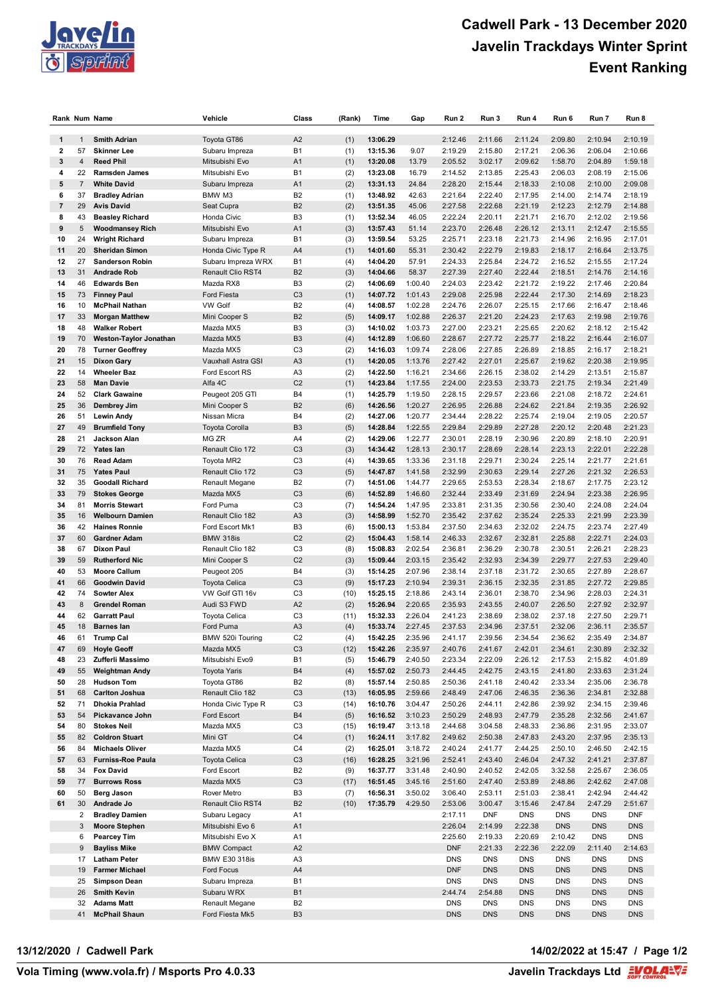

|                         |                | Rank Num Name            | Vehicle               | Class          | (Rank) | Time     | Gap     | Run 2      | Run 3      | Run 4      | Run 6      | Run 7      | Run 8      |
|-------------------------|----------------|--------------------------|-----------------------|----------------|--------|----------|---------|------------|------------|------------|------------|------------|------------|
|                         |                |                          |                       |                |        |          |         |            |            |            |            |            |            |
| 1                       | $\mathbf{1}$   | <b>Smith Adrian</b>      | Toyota GT86           | A2             | (1)    | 13:06.29 |         | 2:12.46    | 2:11.66    | 2:11.24    | 2:09.80    | 2:10.94    | 2:10.19    |
| $\overline{\mathbf{2}}$ | 57             | <b>Skinner Lee</b>       | Subaru Impreza        | <b>B1</b>      | (1)    | 13:15.36 | 9.07    | 2:19.29    | 2:15.80    | 2:17.21    | 2:06.36    | 2:06.04    | 2:10.66    |
| 3                       | 4              | <b>Reed Phil</b>         | Mitsubishi Evo        | A <sub>1</sub> | (1)    | 13:20.08 | 13.79   | 2:05.52    | 3:02.17    | 2:09.62    | 1:58.70    | 2:04.89    | 1:59.18    |
| 4                       | 22             | <b>Ramsden James</b>     | Mitsubishi Evo        | <b>B1</b>      | (2)    | 13:23.08 | 16.79   | 2:14.52    | 2:13.85    | 2:25.43    | 2:06.03    | 2:08.19    | 2:15.06    |
| 5                       | $\overline{7}$ | <b>White David</b>       | Subaru Impreza        | A <sub>1</sub> | (2)    | 13:31.13 | 24.84   | 2:28.20    | 2:15.44    | 2:18.33    | 2:10.08    | 2:10.00    | 2:09.08    |
| 6                       | 37             | <b>Bradley Adrian</b>    | BMW M3                | B <sub>2</sub> | (1)    | 13:48.92 | 42.63   | 2:21.64    | 2:22.40    | 2:17.95    | 2:14.00    | 2:14.74    | 2:18.19    |
| $\overline{\mathbf{r}}$ | 29             | <b>Avis David</b>        | Seat Cupra            | B <sub>2</sub> | (2)    | 13:51.35 | 45.06   | 2:27.58    | 2:22.68    | 2:21.19    | 2:12.23    | 2:12.79    | 2:14.88    |
| 8                       | 43             | <b>Beasley Richard</b>   | Honda Civic           | B <sub>3</sub> | (1)    | 13:52.34 | 46.05   | 2:22.24    | 2:20.11    | 2:21.71    | 2:16.70    | 2:12.02    | 2:19.56    |
| 9                       | 5              | <b>Woodmansey Rich</b>   | Mitsubishi Evo        | A <sub>1</sub> | (3)    | 13:57.43 | 51.14   | 2:23.70    | 2:26.48    | 2:26.12    | 2:13.11    | 2:12.47    | 2:15.55    |
| 10                      | 24             | <b>Wright Richard</b>    | Subaru Impreza        | <b>B1</b>      | (3)    | 13:59.54 | 53.25   | 2:25.71    | 2:23.18    | 2:21.73    | 2:14.96    | 2:16.95    | 2:17.01    |
| 11                      | 20             | <b>Sheridan Simon</b>    | Honda Civic Type R    | A4             | (1)    | 14:01.60 | 55.31   | 2:30.42    | 2:22.79    | 2:19.83    | 2:18.17    | 2:16.64    | 2:13.75    |
| 12                      | 27             | <b>Sanderson Robin</b>   | Subaru Impreza WRX    | <b>B1</b>      | (4)    | 14:04.20 | 57.91   | 2:24.33    | 2:25.84    | 2:24.72    | 2:16.52    | 2:15.55    | 2:17.24    |
| 13                      | 31             | <b>Andrade Rob</b>       | Renault Clio RST4     | B <sub>2</sub> | (3)    | 14:04.66 | 58.37   | 2:27.39    | 2:27.40    | 2:22.44    | 2:18.51    | 2:14.76    | 2:14.16    |
| 14                      | 46             | <b>Edwards Ben</b>       | Mazda RX8             | B <sub>3</sub> | (2)    | 14:06.69 | 1:00.40 | 2:24.03    | 2:23.42    | 2:21.72    | 2:19.22    | 2:17.46    | 2:20.84    |
| 15                      | 73             | <b>Finney Paul</b>       | <b>Ford Fiesta</b>    | C <sub>3</sub> | (1)    | 14:07.72 | 1:01.43 | 2:29.08    | 2:25.98    | 2:22.44    | 2:17.30    | 2:14.69    | 2:18.23    |
| 16                      | 10             | <b>McPhail Nathan</b>    | <b>VW Golf</b>        | B <sub>2</sub> | (4)    | 14:08.57 | 1:02.28 | 2:24.76    | 2:26.07    | 2:25.15    | 2:17.66    | 2:16.47    | 2:18.46    |
| 17                      | 33             | <b>Morgan Matthew</b>    | Mini Cooper S         | B <sub>2</sub> | (5)    | 14:09.17 | 1:02.88 | 2:26.37    | 2:21.20    | 2:24.23    | 2:17.63    | 2:19.98    | 2:19.76    |
| 18                      | 48             | <b>Walker Robert</b>     | Mazda MX5             | B <sub>3</sub> | (3)    | 14:10.02 | 1:03.73 | 2:27.00    | 2:23.21    | 2:25.65    | 2:20.62    | 2:18.12    | 2:15.42    |
| 19                      | 70             | Weston-Taylor Jonathan   | Mazda MX5             | B <sub>3</sub> | (4)    | 14:12.89 | 1:06.60 | 2:28.67    | 2:27.72    | 2:25.77    | 2:18.22    | 2:16.44    | 2:16.07    |
| 20                      | 78             | <b>Turner Geoffrey</b>   | Mazda MX5             | C <sub>3</sub> | (2)    | 14:16.03 | 1:09.74 | 2:28.06    | 2:27.85    | 2:26.89    | 2:18.85    | 2:16.17    | 2:18.21    |
| 21                      | 15             | <b>Dixon Gary</b>        | Vauxhall Astra GSI    | A3             | (1)    | 14:20.05 | 1:13.76 | 2:27.42    | 2:27.01    | 2:25.67    | 2:19.62    | 2:20.38    | 2:19.95    |
| 22                      | 14             | <b>Wheeler Baz</b>       | Ford Escort RS        | A <sub>3</sub> | (2)    | 14:22.50 | 1:16.21 | 2:34.66    | 2:26.15    | 2:38.02    | 2:14.29    | 2:13.51    | 2:15.87    |
| 23                      | 58             | <b>Man Davie</b>         | Alfa 4C               | C <sub>2</sub> | (1)    | 14:23.84 | 1:17.55 | 2:24.00    | 2:23.53    | 2:33.73    | 2:21.75    | 2:19.34    | 2:21.49    |
| 24                      | 52             | <b>Clark Gawaine</b>     | Peugeot 205 GTI       | <b>B4</b>      | (1)    | 14:25.79 | 1:19.50 | 2:28.15    | 2:29.57    | 2:23.66    | 2:21.08    | 2:18.72    | 2:24.61    |
| 25                      | 36             | Dembrey Jim              | Mini Cooper S         | B <sub>2</sub> | (6)    | 14:26.56 | 1:20.27 | 2:26.95    | 2:26.88    | 2:24.62    | 2:21.84    | 2:19.35    | 2:26.92    |
| 26                      | 51             | <b>Lewin Andy</b>        | Nissan Micra          | <b>B4</b>      | (2)    | 14:27.06 | 1:20.77 | 2:34.44    | 2:28.22    | 2:25.74    | 2:19.04    | 2:19.05    | 2:20.57    |
| 27                      | 49             | <b>Brumfield Tony</b>    | <b>Toyota Corolla</b> | B <sub>3</sub> | (5)    | 14:28.84 | 1:22.55 | 2:29.84    | 2:29.89    | 2:27.28    | 2:20.12    | 2:20.48    | 2:21.23    |
| 28                      | 21             | Jackson Alan             | MG ZR                 | A4             | (2)    | 14:29.06 | 1:22.77 | 2:30.01    | 2:28.19    | 2:30.96    | 2:20.89    | 2:18.10    | 2:20.91    |
| 29                      | 72             | Yates lan                | Renault Clio 172      | C <sub>3</sub> | (3)    | 14:34.42 | 1:28.13 | 2:30.17    | 2:28.69    | 2:28.14    | 2:23.13    | 2:22.01    | 2:22.28    |
| 30                      | 76             | <b>Read Adam</b>         | Toyota MR2            | C <sub>3</sub> | (4)    | 14:39.65 | 1:33.36 | 2:31.18    | 2:29.71    | 2:30.24    | 2:25.14    | 2:21.77    | 2:21.61    |
| 31                      | 75             | <b>Yates Paul</b>        | Renault Clio 172      | C <sub>3</sub> | (5)    | 14:47.87 | 1:41.58 | 2:32.99    | 2:30.63    | 2:29.14    | 2:27.26    | 2:21.32    | 2:26.53    |
| 32                      | 35             | <b>Goodall Richard</b>   | Renault Megane        | B <sub>2</sub> | (7)    | 14:51.06 | 1:44.77 | 2:29.65    | 2:53.53    | 2:28.34    | 2:18.67    | 2:17.75    | 2:23.12    |
| 33                      | 79             | <b>Stokes George</b>     | Mazda MX5             | C <sub>3</sub> | (6)    | 14:52.89 | 1:46.60 | 2:32.44    | 2:33.49    | 2:31.69    | 2:24.94    | 2:23.38    | 2:26.95    |
| 34                      | 81             | <b>Morris Stewart</b>    | Ford Puma             | C <sub>3</sub> | (7)    | 14:54.24 | 1:47.95 | 2:33.81    | 2:31.35    | 2:30.56    | 2:30.40    | 2:24.08    | 2:24.04    |
| 35                      | 16             | <b>Welbourn Damien</b>   | Renault Clio 182      | A <sub>3</sub> | (3)    | 14:58.99 | 1:52.70 | 2:35.42    | 2:37.62    | 2:35.24    | 2:25.33    | 2:21.99    | 2:23.39    |
| 36                      | 42             | <b>Haines Ronnie</b>     | Ford Escort Mk1       | B <sub>3</sub> | (6)    | 15:00.13 | 1:53.84 | 2:37.50    | 2:34.63    | 2:32.02    | 2:24.75    | 2:23.74    | 2:27.49    |
| 37                      | 60             | <b>Gardner Adam</b>      | <b>BMW 318is</b>      | C <sub>2</sub> | (2)    | 15:04.43 | 1:58.14 | 2:46.33    | 2:32.67    | 2:32.81    | 2:25.88    | 2:22.71    | 2:24.03    |
| 38                      | 67             | <b>Dixon Paul</b>        | Renault Clio 182      | C <sub>3</sub> | (8)    | 15:08.83 | 2:02.54 | 2:36.81    | 2:36.29    | 2:30.78    | 2:30.51    | 2:26.21    | 2:28.23    |
| 39                      | 59             | <b>Rutherford Nic</b>    | Mini Cooper S         | C <sub>2</sub> | (3)    | 15:09.44 | 2:03.15 | 2:35.42    | 2:32.93    | 2:34.39    | 2:29.77    | 2:27.53    | 2:29.40    |
| 40                      | 53             | <b>Moore Callum</b>      | Peugeot 205           | <b>B4</b>      | (3)    | 15:14.25 | 2:07.96 | 2:38.14    | 2:37.18    | 2:31.72    | 2:30.65    | 2:27.89    | 2:28.67    |
| 41                      | 66             | Goodwin David            | <b>Toyota Celica</b>  | C <sub>3</sub> | (9)    | 15:17.23 | 2:10.94 | 2:39.31    | 2:36.15    | 2:32.35    | 2:31.85    | 2:27.72    | 2:29.85    |
| 42                      | 74             | <b>Sowter Alex</b>       | VW Golf GTI 16v       | C <sub>3</sub> | (10)   | 15:25.15 | 2:18.86 | 2:43.14    | 2:36.01    | 2:38.70    | 2:34.96    | 2:28.03    | 2:24.31    |
| 43                      | 8              | <b>Grendel Roman</b>     | Audi S3 FWD           | A2             | (2)    | 15:26.94 | 2:20.65 | 2:35.93    | 2:43.55    | 2:40.07    | 2:26.50    | 2:27.92    | 2:32.97    |
| 44                      | 62             | <b>Garratt Paul</b>      | <b>Toyota Celica</b>  | C <sub>3</sub> | (11)   | 15:32.33 | 2:26.04 | 2:41.23    | 2:38.69    | 2:38.02    | 2:37.18    | 2:27.50    | 2:29.71    |
| 45                      | 18             | <b>Barnes lan</b>        | Ford Puma             | A3             | (4)    | 15:33.74 | 2:27.45 | 2:37.53    | 2:34.96    | 2:37.51    | 2:32.06    | 2:36.11    | 2:35.57    |
| 46                      | 61             | <b>Trump Cal</b>         | BMW 520i Touring      | C <sub>2</sub> | (4)    | 15:42.25 | 2:35.96 | 2:41.17    | 2:39.56    | 2:34.54    | 2:36.62    | 2:35.49    | 2:34.87    |
| 47                      | 69             | <b>Hoyle Geoff</b>       | Mazda MX5             | C <sub>3</sub> | (12)   | 15:42.26 | 2:35.97 | 2:40.76    | 2:41.67    | 2:42.01    | 2:34.61    | 2:30.89    | 2:32.32    |
| 48                      | 23             | Zufferli Massimo         | Mitsubishi Evo9       | <b>B1</b>      | (5)    | 15:46.79 | 2:40.50 | 2:23.34    | 2:22.09    | 2:26.12    | 2:17.53    | 2:15.82    | 4:01.89    |
| 49                      | 55             | <b>Weightman Andy</b>    | <b>Toyota Yaris</b>   | B4             | (4)    | 15:57.02 | 2:50.73 | 2:44.45    | 2:42.75    | 2:43.15    | 2:41.80    | 2:33.63    | 2:31.24    |
| 50                      | 28             | <b>Hudson Tom</b>        | Toyota GT86           | B <sub>2</sub> | (8)    | 15:57.14 | 2:50.85 | 2:50.36    | 2:41.18    | 2:40.42    | 2:33.34    | 2:35.06    | 2:36.78    |
| 51                      | 68             | <b>Carlton Joshua</b>    | Renault Clio 182      | C <sub>3</sub> | (13)   | 16:05.95 | 2:59.66 | 2:48.49    | 2:47.06    | 2:46.35    | 2:36.36    | 2:34.81    | 2:32.88    |
| 52                      | 71             | Dhokia Prahlad           | Honda Civic Type R    | C <sub>3</sub> | (14)   | 16:10.76 | 3:04.47 | 2:50.26    | 2:44.11    | 2:42.86    | 2:39.92    | 2:34.15    | 2:39.46    |
| 53                      | 54             | Pickavance John          | Ford Escort           | B4             | (5)    | 16:16.52 | 3:10.23 | 2:50.29    | 2:48.93    | 2:47.79    | 2:35.28    | 2:32.56    | 2:41.67    |
| 54                      | 80             | <b>Stokes Neil</b>       | Mazda MX5             | C <sub>3</sub> | (15)   | 16:19.47 | 3:13.18 | 2:44.68    | 3:04.58    | 2:48.33    | 2:36.86    | 2:31.95    | 2:33.07    |
| 55                      | 82             | <b>Coldron Stuart</b>    | Mini GT               | C <sub>4</sub> | (1)    | 16:24.11 | 3:17.82 | 2:49.62    | 2:50.38    | 2:47.83    | 2:43.20    | 2:37.95    | 2:35.13    |
| 56                      | 84             | <b>Michaels Oliver</b>   | Mazda MX5             | C4             | (2)    | 16:25.01 | 3:18.72 | 2:40.24    | 2:41.77    | 2:44.25    | 2:50.10    | 2:46.50    | 2:42.15    |
| 57                      | 63             | <b>Furniss-Roe Paula</b> | <b>Toyota Celica</b>  | C <sub>3</sub> | (16)   | 16:28.25 | 3:21.96 | 2:52.41    | 2:43.40    | 2:46.04    | 2:47.32    | 2:41.21    | 2:37.87    |
| 58                      | 34             | <b>Fox David</b>         | Ford Escort           | B <sub>2</sub> | (9)    | 16:37.77 | 3:31.48 | 2:40.90    | 2:40.52    | 2:42.05    | 3:32.58    | 2:25.67    | 2:36.05    |
| 59                      | 77             | <b>Burrows Ross</b>      | Mazda MX5             | C <sub>3</sub> | (17)   | 16:51.45 | 3:45.16 | 2:51.60    | 2:47.40    | 2:53.89    | 2:48.86    | 2:42.62    | 2:47.08    |
| 60                      | 50             | Berg Jason               | Rover Metro           | B3             | (7)    | 16:56.31 | 3:50.02 | 3:06.40    | 2:53.11    | 2:51.03    | 2:38.41    | 2:42.94    | 2:44.42    |
| 61                      | 30             | Andrade Jo               | Renault Clio RST4     | B <sub>2</sub> | (10)   | 17:35.79 | 4:29.50 | 2:53.06    | 3:00.47    | 3:15.46    | 2:47.84    | 2:47.29    | 2:51.67    |
|                         | $\overline{2}$ | <b>Bradley Damien</b>    | Subaru Legacy         | A <sub>1</sub> |        |          |         | 2:17.11    | <b>DNF</b> | <b>DNS</b> | <b>DNS</b> | <b>DNS</b> | <b>DNF</b> |
|                         | 3              | <b>Moore Stephen</b>     | Mitsubishi Evo 6      | A <sub>1</sub> |        |          |         | 2:26.04    | 2:14.99    | 2:22.38    | <b>DNS</b> | <b>DNS</b> | <b>DNS</b> |
|                         | 6              | <b>Pearcey Tim</b>       | Mitsubishi Evo X      | A1             |        |          |         | 2:25.60    | 2:19.33    | 2:20.69    | 2:10.42    | <b>DNS</b> | <b>DNS</b> |
|                         | 9              | <b>Bayliss Mike</b>      | <b>BMW Compact</b>    | A <sub>2</sub> |        |          |         | <b>DNF</b> | 2:21.33    | 2:22.36    | 2:22.09    | 2:11.40    | 2:14.63    |
|                         | 17             | <b>Latham Peter</b>      | <b>BMW E30 318is</b>  | A <sub>3</sub> |        |          |         | <b>DNS</b> | <b>DNS</b> | <b>DNS</b> | <b>DNS</b> | <b>DNS</b> | <b>DNS</b> |
|                         | 19             | <b>Farmer Michael</b>    | Ford Focus            | A4             |        |          |         | <b>DNF</b> | <b>DNS</b> | <b>DNS</b> | <b>DNS</b> | <b>DNS</b> | <b>DNS</b> |
|                         | 25             | <b>Simpson Dean</b>      | Subaru Impreza        | <b>B1</b>      |        |          |         | DNS        | <b>DNS</b> | <b>DNS</b> | DNS        | <b>DNS</b> | <b>DNS</b> |
|                         | 26             | <b>Smith Kevin</b>       | Subaru WRX            | <b>B1</b>      |        |          |         | 2:44.74    | 2:54.88    | <b>DNS</b> | <b>DNS</b> | <b>DNS</b> | <b>DNS</b> |
|                         | 32             | <b>Adams Matt</b>        | Renault Megane        | B <sub>2</sub> |        |          |         | <b>DNS</b> | <b>DNS</b> | <b>DNS</b> | <b>DNS</b> | <b>DNS</b> | <b>DNS</b> |
|                         | 41             | <b>McPhail Shaun</b>     | Ford Fiesta Mk5       | B <sub>3</sub> |        |          |         | <b>DNS</b> | <b>DNS</b> | <b>DNS</b> | <b>DNS</b> | <b>DNS</b> | <b>DNS</b> |

**13/12/2020 / Cadwell Park 14/02/2022 at 15:47 / Page 1/2**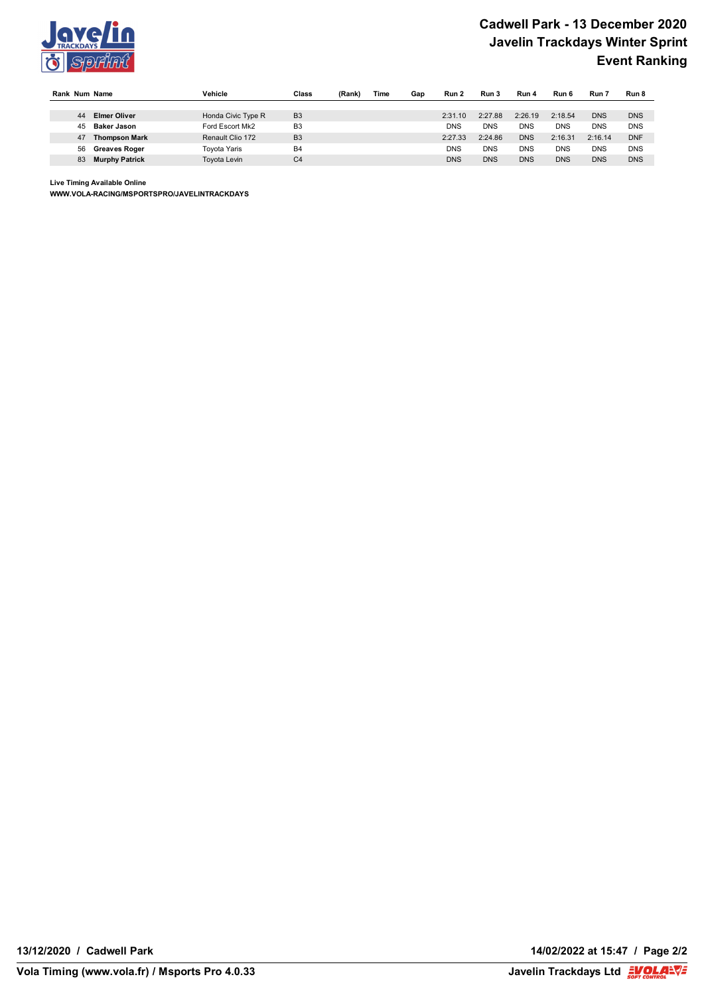

|    | Rank Num Name         | Vehicle             | Class          | (Rank) | Time | Gap | Run 2      | Run 3      | Run 4      | Run 6      | Run 7      | Run 8      |
|----|-----------------------|---------------------|----------------|--------|------|-----|------------|------------|------------|------------|------------|------------|
|    |                       |                     |                |        |      |     |            |            |            |            |            |            |
| 44 | <b>Elmer Oliver</b>   | Honda Civic Type R  | B <sub>3</sub> |        |      |     | 2:31.10    | 2:27.88    | 2:26.19    | 2:18.54    | <b>DNS</b> | <b>DNS</b> |
| 45 | Baker Jason           | Ford Escort Mk2     | B <sub>3</sub> |        |      |     | <b>DNS</b> | DNS        | <b>DNS</b> | <b>DNS</b> | <b>DNS</b> | <b>DNS</b> |
| 47 | <b>Thompson Mark</b>  | Renault Clio 172    | B <sub>3</sub> |        |      |     | 2:27.33    | 2:24.86    | <b>DNS</b> | 2:16.31    | 2:16.14    | <b>DNF</b> |
| 56 | <b>Greaves Roger</b>  | Tovota Yaris        | B <sub>4</sub> |        |      |     | <b>DNS</b> | DNS        | <b>DNS</b> | <b>DNS</b> | <b>DNS</b> | <b>DNS</b> |
| 83 | <b>Murphy Patrick</b> | <b>Tovota Levin</b> | C <sub>4</sub> |        |      |     | <b>DNS</b> | <b>DNS</b> | <b>DNS</b> | <b>DNS</b> | <b>DNS</b> | <b>DNS</b> |

**Live Timing Available Online**

**WWW.VOLA-RACING/MSPORTSPRO/JAVELINTRACKDAYS**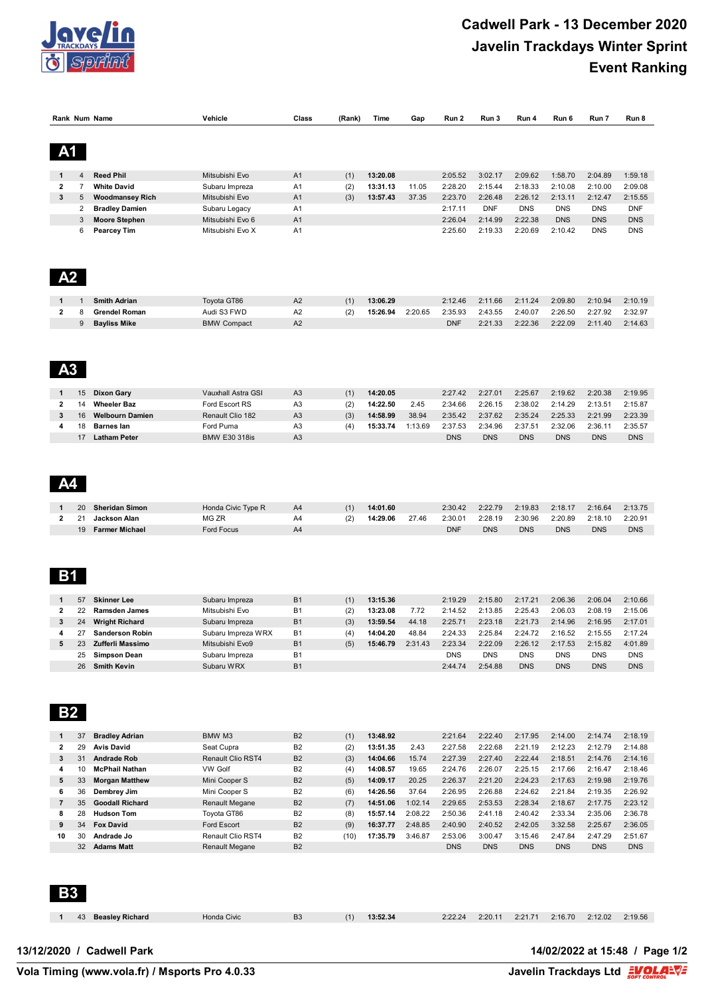

|                         |                | Rank Num Name                            | Vehicle                           | Class                            | (Rank)      | Time                 | Gap                | Run 2                 | Run 3                 | Run 4                 | Run 6                 | Run 7                 | Run 8                 |
|-------------------------|----------------|------------------------------------------|-----------------------------------|----------------------------------|-------------|----------------------|--------------------|-----------------------|-----------------------|-----------------------|-----------------------|-----------------------|-----------------------|
|                         |                |                                          |                                   |                                  |             |                      |                    |                       |                       |                       |                       |                       |                       |
|                         |                |                                          |                                   |                                  |             |                      |                    |                       |                       |                       |                       |                       |                       |
| A <sub>1</sub>          |                |                                          |                                   |                                  |             |                      |                    |                       |                       |                       |                       |                       |                       |
|                         |                |                                          |                                   |                                  |             |                      |                    |                       |                       |                       |                       |                       |                       |
| 1                       | 4              | <b>Reed Phil</b>                         | Mitsubishi Evo                    | A <sub>1</sub>                   | (1)         | 13:20.08             |                    | 2:05.52               | 3:02.17               | 2:09.62               | 1:58.70               | 2:04.89               | 1:59.18               |
| $\mathbf{2}$            | $\overline{7}$ | <b>White David</b>                       | Subaru Impreza                    | A <sub>1</sub>                   | (2)         | 13:31.13             | 11.05              | 2:28.20               | 2:15.44               | 2:18.33               | 2:10.08               | 2:10.00               | 2:09.08               |
| 3                       | 5              | <b>Woodmansey Rich</b>                   | Mitsubishi Evo                    | A <sub>1</sub>                   | (3)         | 13:57.43             | 37.35              | 2:23.70               | 2:26.48               | 2:26.12               | 2:13.11               | 2:12.47               | 2:15.55               |
|                         | 2              | <b>Bradley Damien</b>                    | Subaru Legacy                     | A <sub>1</sub>                   |             |                      |                    | 2:17.11               | <b>DNF</b>            | <b>DNS</b>            | <b>DNS</b>            | <b>DNS</b>            | <b>DNF</b>            |
|                         | 3              | <b>Moore Stephen</b>                     | Mitsubishi Evo 6                  | A1                               |             |                      |                    | 2:26.04               | 2:14.99               | 2:22.38               | <b>DNS</b>            | <b>DNS</b>            | <b>DNS</b>            |
|                         | 6              | <b>Pearcey Tim</b>                       | Mitsubishi Evo X                  | A <sub>1</sub>                   |             |                      |                    | 2:25.60               | 2:19.33               | 2:20.69               | 2:10.42               | <b>DNS</b>            | <b>DNS</b>            |
|                         |                |                                          |                                   |                                  |             |                      |                    |                       |                       |                       |                       |                       |                       |
|                         |                |                                          |                                   |                                  |             |                      |                    |                       |                       |                       |                       |                       |                       |
|                         |                |                                          |                                   |                                  |             |                      |                    |                       |                       |                       |                       |                       |                       |
| A <sub>2</sub>          |                |                                          |                                   |                                  |             |                      |                    |                       |                       |                       |                       |                       |                       |
|                         |                |                                          |                                   |                                  |             |                      |                    |                       |                       |                       |                       |                       |                       |
|                         | $\mathbf{1}$   | <b>Smith Adrian</b>                      | Toyota GT86                       | A <sub>2</sub>                   | (1)         | 13:06.29             |                    | 2:12.46               | 2:11.66               | 2:11.24               | 2:09.80               | 2:10.94               | 2:10.19               |
| $\mathbf{2}$            | 8              | <b>Grendel Roman</b>                     | Audi S3 FWD                       | A <sub>2</sub>                   | (2)         | 15:26.94             | 2:20.65            | 2:35.93               | 2:43.55               | 2:40.07               | 2:26.50               | 2:27.92               | 2:32.97               |
|                         | $9\,$          | <b>Bayliss Mike</b>                      | <b>BMW Compact</b>                | A2                               |             |                      |                    | <b>DNF</b>            | 2:21.33               | 2:22.36               | 2:22.09               | 2:11.40               | 2:14.63               |
|                         |                |                                          |                                   |                                  |             |                      |                    |                       |                       |                       |                       |                       |                       |
|                         |                |                                          |                                   |                                  |             |                      |                    |                       |                       |                       |                       |                       |                       |
|                         |                |                                          |                                   |                                  |             |                      |                    |                       |                       |                       |                       |                       |                       |
| А3                      |                |                                          |                                   |                                  |             |                      |                    |                       |                       |                       |                       |                       |                       |
|                         |                |                                          |                                   |                                  |             |                      |                    |                       |                       |                       |                       |                       |                       |
| 1                       | 15             | <b>Dixon Gary</b>                        | Vauxhall Astra GSI                | A <sub>3</sub>                   | (1)         | 14:20.05             |                    | 2:27.42               | 2:27.01               | 2:25.67               | 2:19.62               | 2:20.38               | 2:19.95               |
| $\mathbf{2}$            | 14             | <b>Wheeler Baz</b>                       | Ford Escort RS                    | A3                               | (2)         | 14:22.50             | 2.45               | 2:34.66               | 2:26.15               | 2:38.02               | 2:14.29               | 2:13.51               | 2:15.87               |
| 3                       | 16             | <b>Welbourn Damien</b>                   | Renault Clio 182                  | A <sub>3</sub>                   | (3)         | 14:58.99             | 38.94              | 2:35.42               | 2:37.62               | 2:35.24               | 2:25.33               | 2:21.99               | 2:23.39               |
| 4                       | 18             | <b>Barnes lan</b><br><b>Latham Peter</b> | Ford Puma<br><b>BMW E30 318is</b> | A <sub>3</sub><br>A <sub>3</sub> | (4)         | 15:33.74             | 1:13.69            | 2:37.53<br><b>DNS</b> | 2:34.96<br><b>DNS</b> | 2:37.51<br><b>DNS</b> | 2:32.06<br><b>DNS</b> | 2:36.11<br><b>DNS</b> | 2:35.57<br><b>DNS</b> |
|                         | 17             |                                          |                                   |                                  |             |                      |                    |                       |                       |                       |                       |                       |                       |
|                         |                |                                          |                                   |                                  |             |                      |                    |                       |                       |                       |                       |                       |                       |
|                         |                |                                          |                                   |                                  |             |                      |                    |                       |                       |                       |                       |                       |                       |
|                         |                |                                          |                                   |                                  |             |                      |                    |                       |                       |                       |                       |                       |                       |
|                         |                |                                          |                                   |                                  |             |                      |                    |                       |                       |                       |                       |                       |                       |
|                         |                |                                          |                                   |                                  |             |                      |                    |                       |                       |                       |                       |                       |                       |
| 1                       | 20             | <b>Sheridan Simon</b>                    | Honda Civic Type R                | A4                               | (1)         | 14:01.60             |                    | 2:30.42               | 2:22.79               | 2:19.83               | 2:18.17               | 2:16.64               | 2:13.75               |
| $\overline{2}$          | 21             | Jackson Alan                             | MG ZR                             | A4                               | (2)         | 14:29.06             | 27.46              | 2:30.01               | 2:28.19               | 2:30.96               | 2:20.89               | 2:18.10               | 2:20.91               |
|                         | 19             | <b>Farmer Michael</b>                    | <b>Ford Focus</b>                 | A4                               |             |                      |                    | <b>DNF</b>            | <b>DNS</b>            | <b>DNS</b>            | <b>DNS</b>            | <b>DNS</b>            | <b>DNS</b>            |
|                         |                |                                          |                                   |                                  |             |                      |                    |                       |                       |                       |                       |                       |                       |
|                         |                |                                          |                                   |                                  |             |                      |                    |                       |                       |                       |                       |                       |                       |
|                         |                |                                          |                                   |                                  |             |                      |                    |                       |                       |                       |                       |                       |                       |
| <b>B1</b>               |                |                                          |                                   |                                  |             |                      |                    |                       |                       |                       |                       |                       |                       |
|                         |                |                                          |                                   |                                  |             |                      |                    |                       |                       |                       |                       |                       |                       |
| 1                       | 57             | <b>Skinner Lee</b>                       | Subaru Impreza                    | <b>B1</b>                        | (1)         | 13:15.36             |                    | 2:19.29               | 2:15.80               | 2:17.21               | 2:06.36               | 2:06.04               | 2:10.66               |
| $\mathbf{2}$            | 22             | Ramsden James                            | Mitsubishi Evo                    | <b>B1</b>                        | (2)         | 13:23.08             | 7.72               | 2:14.52               | 2:13.85               | 2:25.43               | 2:06.03               | 2:08.19               | 2:15.06               |
| 3                       | 24             | <b>Wright Richard</b>                    | Subaru Impreza                    | <b>B1</b>                        | (3)         | 13:59.54             | 44.18              | 2:25.71               | 2:23.18               | 2:21.73               | 2:14.96               | 2:16.95               | 2:17.01               |
| 4                       | 27             | <b>Sanderson Robin</b>                   | Subaru Impreza WRX                | <b>B1</b>                        | (4)         | 14:04.20             | 48.84              | 2:24.33               | 2:25.84               | 2:24.72               | 2:16.52               | 2:15.55               | 2:17.24               |
| 5                       | 23             | Zufferli Massimo                         | Mitsubishi Evo9                   | B <sub>1</sub>                   | (5)         | 15:46.79             | 2:31.43            | 2:23.34               | 2:22.09               | 2:26.12               | 2:17.53               | 2:15.82               | 4:01.89               |
|                         | 25             | <b>Simpson Dean</b>                      | Subaru Impreza                    | <b>B1</b>                        |             |                      |                    | <b>DNS</b>            | <b>DNS</b>            | <b>DNS</b>            | <b>DNS</b>            | <b>DNS</b>            | <b>DNS</b>            |
|                         | 26             | <b>Smith Kevin</b>                       | Subaru WRX                        | <b>B1</b>                        |             |                      |                    | 2:44.74               | 2:54.88               | <b>DNS</b>            | <b>DNS</b>            | <b>DNS</b>            | <b>DNS</b>            |
|                         |                |                                          |                                   |                                  |             |                      |                    |                       |                       |                       |                       |                       |                       |
|                         |                |                                          |                                   |                                  |             |                      |                    |                       |                       |                       |                       |                       |                       |
|                         |                |                                          |                                   |                                  |             |                      |                    |                       |                       |                       |                       |                       |                       |
| <b>B2</b>               |                |                                          |                                   |                                  |             |                      |                    |                       |                       |                       |                       |                       |                       |
|                         |                |                                          |                                   |                                  |             |                      |                    |                       |                       |                       |                       |                       |                       |
| 1                       | 37             | <b>Bradley Adrian</b>                    | BMW M3                            | B <sub>2</sub>                   | (1)         | 13:48.92             |                    | 2:21.64               | 2:22.40               | 2:17.95               | 2:14.00               | 2:14.74               | 2:18.19               |
| 2                       | 29             | <b>Avis David</b>                        | Seat Cupra                        | B <sub>2</sub>                   | (2)         | 13:51.35             | 2.43               | 2:27.58               | 2:22.68               | 2:21.19               | 2:12.23               | 2:12.79               | 2:14.88               |
| 3                       | 31             | <b>Andrade Rob</b>                       | Renault Clio RST4                 | B <sub>2</sub>                   | (3)         | 14:04.66             | 15.74              | 2:27.39               | 2:27.40               | 2:22.44               | 2:18.51               | 2:14.76               | 2:14.16               |
| 4                       | 10             | <b>McPhail Nathan</b>                    | VW Golf                           | B <sub>2</sub>                   | (4)         | 14:08.57             | 19.65              | 2:24.76               | 2:26.07               | 2:25.15               | 2:17.66               | 2:16.47               | 2:18.46               |
| 5                       | 33             | <b>Morgan Matthew</b>                    | Mini Cooper S                     | B <sub>2</sub>                   | (5)         | 14:09.17             | 20.25              | 2:26.37               | 2:21.20               | 2:24.23               | 2:17.63               | 2:19.98               | 2:19.76               |
| 6                       | 36             | Dembrey Jim                              | Mini Cooper S                     | B <sub>2</sub>                   | (6)         | 14:26.56             | 37.64              | 2:26.95               | 2:26.88               | 2:24.62               | 2:21.84               | 2:19.35               | 2:26.92               |
| $\overline{\mathbf{7}}$ | 35             | <b>Goodall Richard</b>                   | Renault Megane                    | B <sub>2</sub>                   | (7)         | 14:51.06             | 1:02.14            | 2:29.65               | 2:53.53               | 2:28.34               | 2:18.67               | 2:17.75               | 2:23.12               |
| 8                       | 28             | <b>Hudson Tom</b>                        | Toyota GT86                       | B <sub>2</sub>                   | (8)         | 15:57.14             | 2:08.22            | 2:50.36               | 2:41.18               | 2:40.42               | 2:33.34               | 2:35.06               | 2:36.78               |
| 9<br>10                 | 34<br>30       | <b>Fox David</b><br>Andrade Jo           | Ford Escort<br>Renault Clio RST4  | B <sub>2</sub><br>B <sub>2</sub> | (9)<br>(10) | 16:37.77<br>17:35.79 | 2:48.85<br>3:46.87 | 2:40.90<br>2:53.06    | 2:40.52<br>3:00.47    | 2:42.05<br>3:15.46    | 3:32.58<br>2:47.84    | 2:25.67<br>2:47.29    | 2:36.05<br>2:51.67    |
|                         | 32             |                                          |                                   |                                  |             |                      |                    |                       |                       |                       |                       |                       |                       |
|                         |                | <b>Adams Matt</b>                        | Renault Megane                    | B <sub>2</sub>                   |             |                      |                    | <b>DNS</b>            | <b>DNS</b>            | <b>DNS</b>            | <b>DNS</b>            | <b>DNS</b>            | <b>DNS</b>            |
|                         |                |                                          |                                   |                                  |             |                      |                    |                       |                       |                       |                       |                       |                       |
|                         |                |                                          |                                   |                                  |             |                      |                    |                       |                       |                       |                       |                       |                       |
|                         |                |                                          |                                   |                                  |             |                      |                    |                       |                       |                       |                       |                       |                       |
| <b>B3</b>               |                |                                          |                                   |                                  |             |                      |                    |                       |                       |                       |                       |                       |                       |
|                         |                |                                          |                                   |                                  |             |                      |                    |                       |                       |                       |                       |                       |                       |
|                         | 43             | <b>Beasley Richard</b>                   | Honda Civic                       | B <sub>3</sub>                   | (1)         | 13:52.34             |                    | 2:22.24               | 2:20.11               | 2:21.71               | 2:16.70               | 2:12.02               | 2:19.56               |
|                         |                |                                          |                                   |                                  |             |                      |                    |                       |                       |                       |                       |                       |                       |
|                         |                |                                          |                                   |                                  |             |                      |                    |                       |                       |                       |                       |                       |                       |

**Vola Timing (www.vola.fr) / Msports Pro 4.0.33** 

Javelin Trackdays Ltd **EVOLARVE**